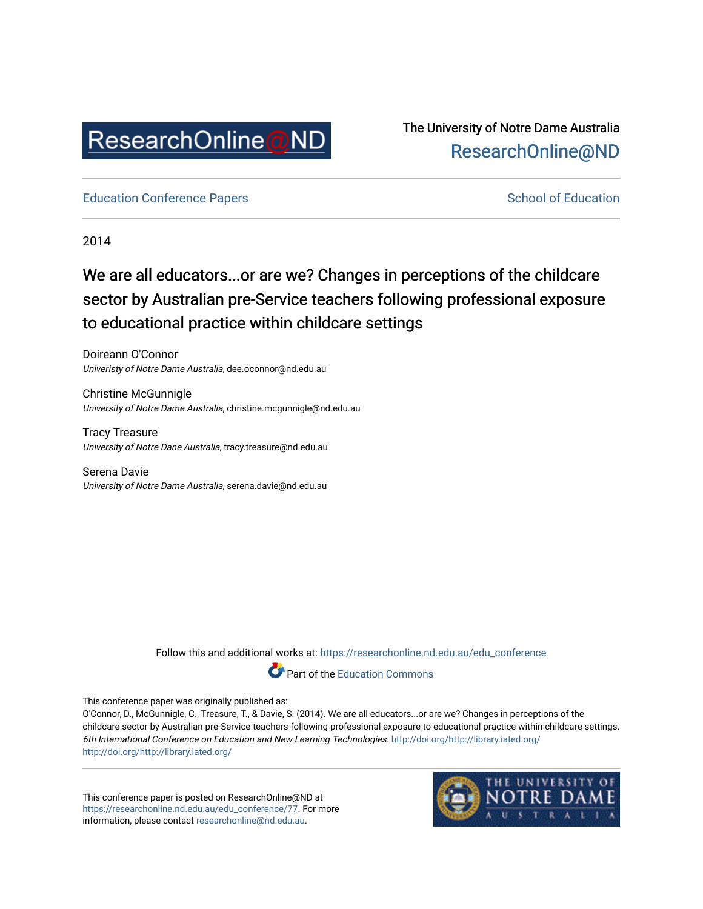

The University of Notre Dame Australia [ResearchOnline@ND](https://researchonline.nd.edu.au/) 

[Education Conference Papers](https://researchonline.nd.edu.au/edu_conference) **School of Education** School of Education

2014

# We are all educators...or are we? Changes in perceptions of the childcare sector by Australian pre-Service teachers following professional exposure to educational practice within childcare settings

Doireann O'Connor Univeristy of Notre Dame Australia, dee.oconnor@nd.edu.au

Christine McGunnigle University of Notre Dame Australia, christine.mcgunnigle@nd.edu.au

Tracy Treasure University of Notre Dane Australia, tracy.treasure@nd.edu.au

Serena Davie University of Notre Dame Australia, serena.davie@nd.edu.au

Follow this and additional works at: [https://researchonline.nd.edu.au/edu\\_conference](https://researchonline.nd.edu.au/edu_conference?utm_source=researchonline.nd.edu.au%2Fedu_conference%2F77&utm_medium=PDF&utm_campaign=PDFCoverPages)



This conference paper was originally published as:

O'Connor, D., McGunnigle, C., Treasure, T., & Davie, S. (2014). We are all educators...or are we? Changes in perceptions of the childcare sector by Australian pre-Service teachers following professional exposure to educational practice within childcare settings. 6th International Conference on Education and New Learning Technologies.<http://doi.org/http://library.iated.org/> <http://doi.org/http://library.iated.org/>

This conference paper is posted on ResearchOnline@ND at [https://researchonline.nd.edu.au/edu\\_conference/77.](https://researchonline.nd.edu.au/edu_conference/77) For more information, please contact [researchonline@nd.edu.au.](mailto:researchonline@nd.edu.au)

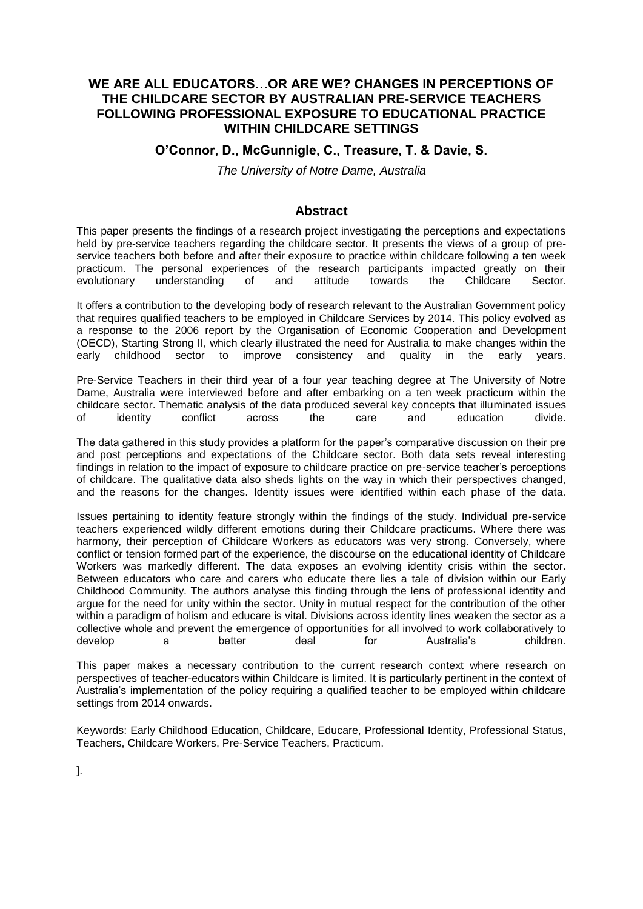# **WE ARE ALL EDUCATORS…OR ARE WE? CHANGES IN PERCEPTIONS OF THE CHILDCARE SECTOR BY AUSTRALIAN PRE-SERVICE TEACHERS FOLLOWING PROFESSIONAL EXPOSURE TO EDUCATIONAL PRACTICE WITHIN CHILDCARE SETTINGS**

### **O'Connor, D., McGunnigle, C., Treasure, T. & Davie, S.**

*The University of Notre Dame, Australia*

#### **Abstract**

This paper presents the findings of a research project investigating the perceptions and expectations held by pre-service teachers regarding the childcare sector. It presents the views of a group of preservice teachers both before and after their exposure to practice within childcare following a ten week practicum. The personal experiences of the research participants impacted greatly on their evolutionary understanding of and attitude towards the Childcare Sector.

It offers a contribution to the developing body of research relevant to the Australian Government policy that requires qualified teachers to be employed in Childcare Services by 2014. This policy evolved as a response to the 2006 report by the Organisation of Economic Cooperation and Development (OECD), Starting Strong II, which clearly illustrated the need for Australia to make changes within the early childhood sector to improve consistency and quality in the early years.

Pre-Service Teachers in their third year of a four year teaching degree at The University of Notre Dame, Australia were interviewed before and after embarking on a ten week practicum within the childcare sector. Thematic analysis of the data produced several key concepts that illuminated issues of identity conflict across the care and education divide.

The data gathered in this study provides a platform for the paper's comparative discussion on their pre and post perceptions and expectations of the Childcare sector. Both data sets reveal interesting findings in relation to the impact of exposure to childcare practice on pre-service teacher's perceptions of childcare. The qualitative data also sheds lights on the way in which their perspectives changed, and the reasons for the changes. Identity issues were identified within each phase of the data.

Issues pertaining to identity feature strongly within the findings of the study. Individual pre-service teachers experienced wildly different emotions during their Childcare practicums. Where there was harmony, their perception of Childcare Workers as educators was very strong. Conversely, where conflict or tension formed part of the experience, the discourse on the educational identity of Childcare Workers was markedly different. The data exposes an evolving identity crisis within the sector. Between educators who care and carers who educate there lies a tale of division within our Early Childhood Community. The authors analyse this finding through the lens of professional identity and argue for the need for unity within the sector. Unity in mutual respect for the contribution of the other within a paradigm of holism and educare is vital. Divisions across identity lines weaken the sector as a collective whole and prevent the emergence of opportunities for all involved to work collaboratively to develop a better deal for Australia's children.

This paper makes a necessary contribution to the current research context where research on perspectives of teacher-educators within Childcare is limited. It is particularly pertinent in the context of Australia's implementation of the policy requiring a qualified teacher to be employed within childcare settings from 2014 onwards.

Keywords: Early Childhood Education, Childcare, Educare, Professional Identity, Professional Status, Teachers, Childcare Workers, Pre-Service Teachers, Practicum.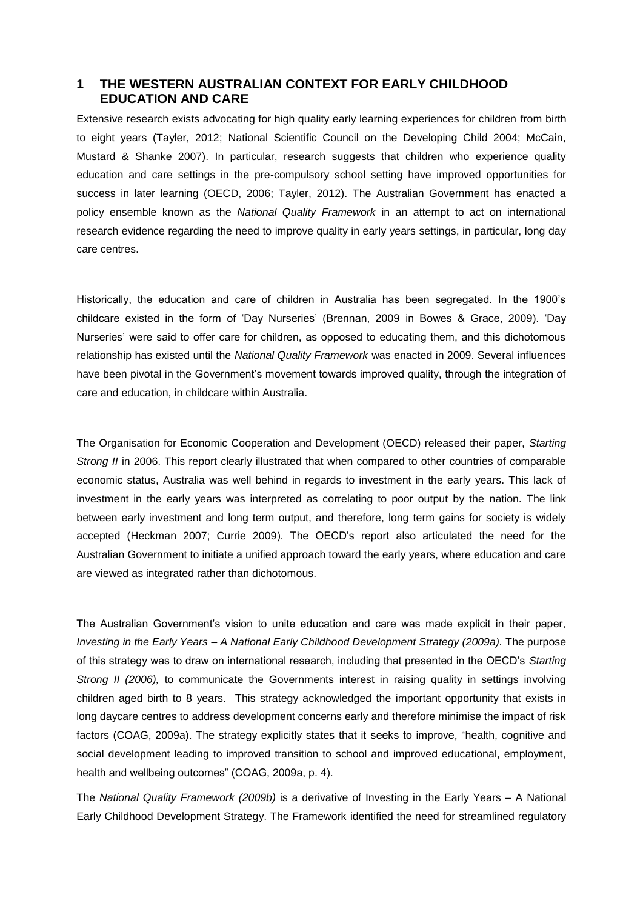## **1 THE WESTERN AUSTRALIAN CONTEXT FOR EARLY CHILDHOOD EDUCATION AND CARE**

Extensive research exists advocating for high quality early learning experiences for children from birth to eight years (Tayler, 2012; National Scientific Council on the Developing Child 2004; McCain, Mustard & Shanke 2007). In particular, research suggests that children who experience quality education and care settings in the pre-compulsory school setting have improved opportunities for success in later learning (OECD, 2006; Tayler, 2012). The Australian Government has enacted a policy ensemble known as the *National Quality Framework* in an attempt to act on international research evidence regarding the need to improve quality in early years settings, in particular, long day care centres.

Historically, the education and care of children in Australia has been segregated. In the 1900's childcare existed in the form of 'Day Nurseries' (Brennan, 2009 in Bowes & Grace, 2009). 'Day Nurseries' were said to offer care for children, as opposed to educating them, and this dichotomous relationship has existed until the *National Quality Framework* was enacted in 2009. Several influences have been pivotal in the Government's movement towards improved quality, through the integration of care and education, in childcare within Australia.

The Organisation for Economic Cooperation and Development (OECD) released their paper, *Starting Strong II* in 2006. This report clearly illustrated that when compared to other countries of comparable economic status, Australia was well behind in regards to investment in the early years. This lack of investment in the early years was interpreted as correlating to poor output by the nation. The link between early investment and long term output, and therefore, long term gains for society is widely accepted (Heckman 2007; Currie 2009). The OECD's report also articulated the need for the Australian Government to initiate a unified approach toward the early years, where education and care are viewed as integrated rather than dichotomous.

The Australian Government's vision to unite education and care was made explicit in their paper, *Investing in the Early Years – A National Early Childhood Development Strategy (2009a).* The purpose of this strategy was to draw on international research, including that presented in the OECD's *Starting Strong II (2006),* to communicate the Governments interest in raising quality in settings involving children aged birth to 8 years. This strategy acknowledged the important opportunity that exists in long daycare centres to address development concerns early and therefore minimise the impact of risk factors (COAG, 2009a). The strategy explicitly states that it seeks to improve, "health, cognitive and social development leading to improved transition to school and improved educational, employment, health and wellbeing outcomes" (COAG, 2009a, p. 4).

The *National Quality Framework (2009b)* is a derivative of Investing in the Early Years – A National Early Childhood Development Strategy. The Framework identified the need for streamlined regulatory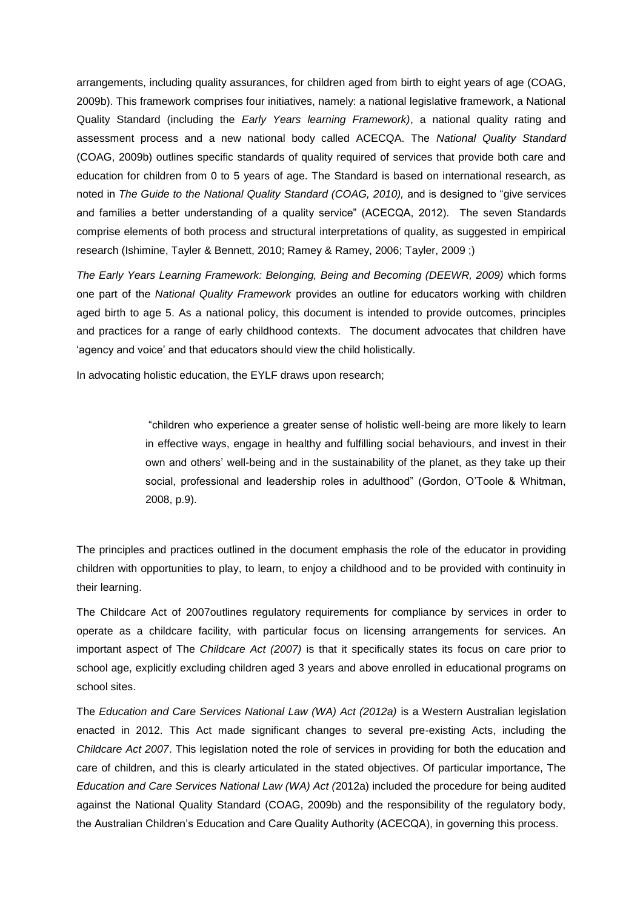arrangements, including quality assurances, for children aged from birth to eight years of age (COAG, 2009b). This framework comprises four initiatives, namely: a national legislative framework, a National Quality Standard (including the *Early Years learning Framework)*, a national quality rating and assessment process and a new national body called ACECQA. The *National Quality Standard*  (COAG, 2009b) outlines specific standards of quality required of services that provide both care and education for children from 0 to 5 years of age. The Standard is based on international research, as noted in *The Guide to the National Quality Standard (COAG, 2010),* and is designed to "give services and families a better understanding of a quality service" (ACECQA, 2012). The seven Standards comprise elements of both process and structural interpretations of quality, as suggested in empirical research (Ishimine, Tayler & Bennett, 2010; Ramey & Ramey, 2006; Tayler, 2009 ;)

*The Early Years Learning Framework: Belonging, Being and Becoming (DEEWR, 2009)* which forms one part of the *National Quality Framework* provides an outline for educators working with children aged birth to age 5. As a national policy, this document is intended to provide outcomes, principles and practices for a range of early childhood contexts. The document advocates that children have 'agency and voice' and that educators should view the child holistically.

In advocating holistic education, the EYLF draws upon research;

"children who experience a greater sense of holistic well-being are more likely to learn in effective ways, engage in healthy and fulfilling social behaviours, and invest in their own and others' well-being and in the sustainability of the planet, as they take up their social, professional and leadership roles in adulthood" (Gordon, O'Toole & Whitman, 2008, p.9).

The principles and practices outlined in the document emphasis the role of the educator in providing children with opportunities to play, to learn, to enjoy a childhood and to be provided with continuity in their learning.

The Childcare Act of 2007outlines regulatory requirements for compliance by services in order to operate as a childcare facility, with particular focus on licensing arrangements for services. An important aspect of The *Childcare Act (2007)* is that it specifically states its focus on care prior to school age, explicitly excluding children aged 3 years and above enrolled in educational programs on school sites.

The *Education and Care Services National Law (WA) Act (2012a)* is a Western Australian legislation enacted in 2012. This Act made significant changes to several pre-existing Acts, including the *Childcare Act 2007*. This legislation noted the role of services in providing for both the education and care of children, and this is clearly articulated in the stated objectives. Of particular importance, The *Education and Care Services National Law (WA) Act (*2012a) included the procedure for being audited against the National Quality Standard (COAG, 2009b) and the responsibility of the regulatory body, the Australian Children's Education and Care Quality Authority (ACECQA), in governing this process.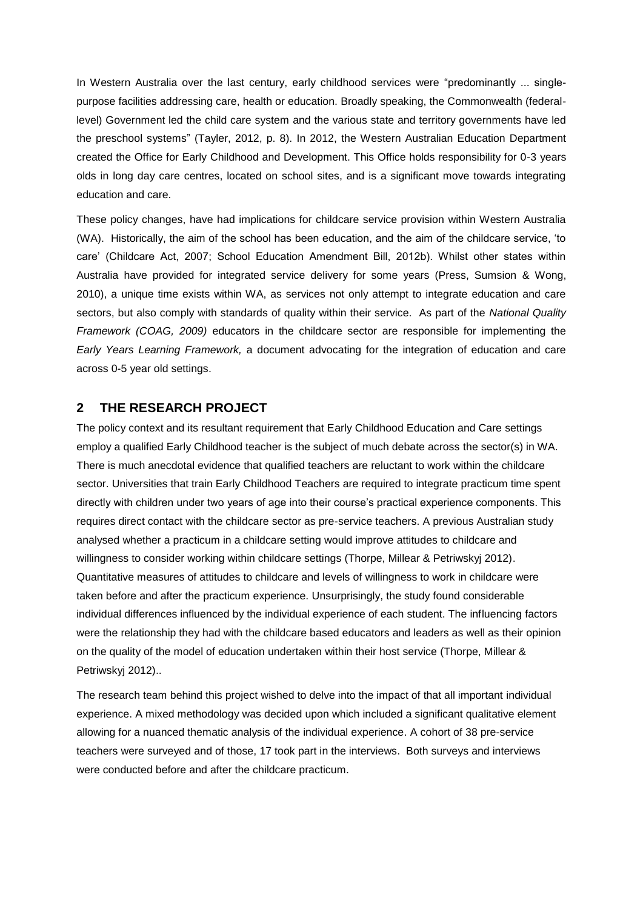In Western Australia over the last century, early childhood services were "predominantly ... singlepurpose facilities addressing care, health or education. Broadly speaking, the Commonwealth (federallevel) Government led the child care system and the various state and territory governments have led the preschool systems" (Tayler, 2012, p. 8). In 2012, the Western Australian Education Department created the Office for Early Childhood and Development. This Office holds responsibility for 0-3 years olds in long day care centres, located on school sites, and is a significant move towards integrating education and care.

These policy changes, have had implications for childcare service provision within Western Australia (WA). Historically, the aim of the school has been education, and the aim of the childcare service, 'to care' (Childcare Act, 2007; School Education Amendment Bill, 2012b). Whilst other states within Australia have provided for integrated service delivery for some years (Press, Sumsion & Wong, 2010), a unique time exists within WA, as services not only attempt to integrate education and care sectors, but also comply with standards of quality within their service. As part of the *National Quality Framework (COAG, 2009)* educators in the childcare sector are responsible for implementing the *Early Years Learning Framework,* a document advocating for the integration of education and care across 0-5 year old settings.

### **2 THE RESEARCH PROJECT**

The policy context and its resultant requirement that Early Childhood Education and Care settings employ a qualified Early Childhood teacher is the subject of much debate across the sector(s) in WA. There is much anecdotal evidence that qualified teachers are reluctant to work within the childcare sector. Universities that train Early Childhood Teachers are required to integrate practicum time spent directly with children under two years of age into their course's practical experience components. This requires direct contact with the childcare sector as pre-service teachers. A previous Australian study analysed whether a practicum in a childcare setting would improve attitudes to childcare and willingness to consider working within childcare settings (Thorpe, Millear & Petriwskyj 2012). Quantitative measures of attitudes to childcare and levels of willingness to work in childcare were taken before and after the practicum experience. Unsurprisingly, the study found considerable individual differences influenced by the individual experience of each student. The influencing factors were the relationship they had with the childcare based educators and leaders as well as their opinion on the quality of the model of education undertaken within their host service (Thorpe, Millear & Petriwskyj 2012)..

The research team behind this project wished to delve into the impact of that all important individual experience. A mixed methodology was decided upon which included a significant qualitative element allowing for a nuanced thematic analysis of the individual experience. A cohort of 38 pre-service teachers were surveyed and of those, 17 took part in the interviews. Both surveys and interviews were conducted before and after the childcare practicum.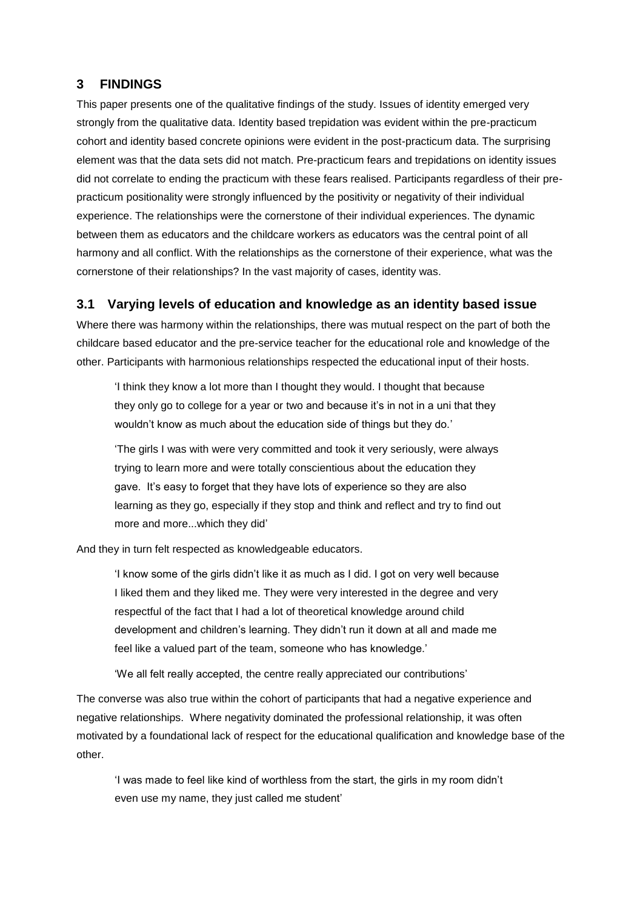# **3 FINDINGS**

This paper presents one of the qualitative findings of the study. Issues of identity emerged very strongly from the qualitative data. Identity based trepidation was evident within the pre-practicum cohort and identity based concrete opinions were evident in the post-practicum data. The surprising element was that the data sets did not match. Pre-practicum fears and trepidations on identity issues did not correlate to ending the practicum with these fears realised. Participants regardless of their prepracticum positionality were strongly influenced by the positivity or negativity of their individual experience. The relationships were the cornerstone of their individual experiences. The dynamic between them as educators and the childcare workers as educators was the central point of all harmony and all conflict. With the relationships as the cornerstone of their experience, what was the cornerstone of their relationships? In the vast majority of cases, identity was.

## **3.1 Varying levels of education and knowledge as an identity based issue**

Where there was harmony within the relationships, there was mutual respect on the part of both the childcare based educator and the pre-service teacher for the educational role and knowledge of the other. Participants with harmonious relationships respected the educational input of their hosts.

'I think they know a lot more than I thought they would. I thought that because they only go to college for a year or two and because it's in not in a uni that they wouldn't know as much about the education side of things but they do.'

'The girls I was with were very committed and took it very seriously, were always trying to learn more and were totally conscientious about the education they gave. It's easy to forget that they have lots of experience so they are also learning as they go, especially if they stop and think and reflect and try to find out more and more...which they did'

And they in turn felt respected as knowledgeable educators.

'I know some of the girls didn't like it as much as I did. I got on very well because I liked them and they liked me. They were very interested in the degree and very respectful of the fact that I had a lot of theoretical knowledge around child development and children's learning. They didn't run it down at all and made me feel like a valued part of the team, someone who has knowledge.'

'We all felt really accepted, the centre really appreciated our contributions'

The converse was also true within the cohort of participants that had a negative experience and negative relationships. Where negativity dominated the professional relationship, it was often motivated by a foundational lack of respect for the educational qualification and knowledge base of the other.

'I was made to feel like kind of worthless from the start, the girls in my room didn't even use my name, they just called me student'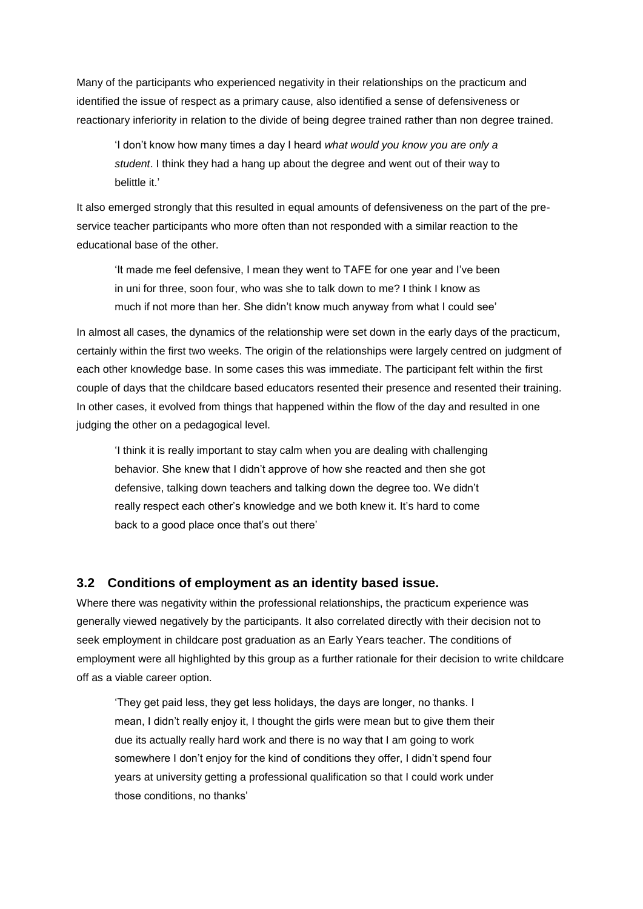Many of the participants who experienced negativity in their relationships on the practicum and identified the issue of respect as a primary cause, also identified a sense of defensiveness or reactionary inferiority in relation to the divide of being degree trained rather than non degree trained.

'I don't know how many times a day I heard *what would you know you are only a student*. I think they had a hang up about the degree and went out of their way to belittle it.'

It also emerged strongly that this resulted in equal amounts of defensiveness on the part of the preservice teacher participants who more often than not responded with a similar reaction to the educational base of the other.

'It made me feel defensive, I mean they went to TAFE for one year and I've been in uni for three, soon four, who was she to talk down to me? I think I know as much if not more than her. She didn't know much anyway from what I could see'

In almost all cases, the dynamics of the relationship were set down in the early days of the practicum, certainly within the first two weeks. The origin of the relationships were largely centred on judgment of each other knowledge base. In some cases this was immediate. The participant felt within the first couple of days that the childcare based educators resented their presence and resented their training. In other cases, it evolved from things that happened within the flow of the day and resulted in one judging the other on a pedagogical level.

'I think it is really important to stay calm when you are dealing with challenging behavior. She knew that I didn't approve of how she reacted and then she got defensive, talking down teachers and talking down the degree too. We didn't really respect each other's knowledge and we both knew it. It's hard to come back to a good place once that's out there'

#### **3.2 Conditions of employment as an identity based issue.**

Where there was negativity within the professional relationships, the practicum experience was generally viewed negatively by the participants. It also correlated directly with their decision not to seek employment in childcare post graduation as an Early Years teacher. The conditions of employment were all highlighted by this group as a further rationale for their decision to write childcare off as a viable career option.

'They get paid less, they get less holidays, the days are longer, no thanks. I mean, I didn't really enjoy it, I thought the girls were mean but to give them their due its actually really hard work and there is no way that I am going to work somewhere I don't enjoy for the kind of conditions they offer, I didn't spend four years at university getting a professional qualification so that I could work under those conditions, no thanks'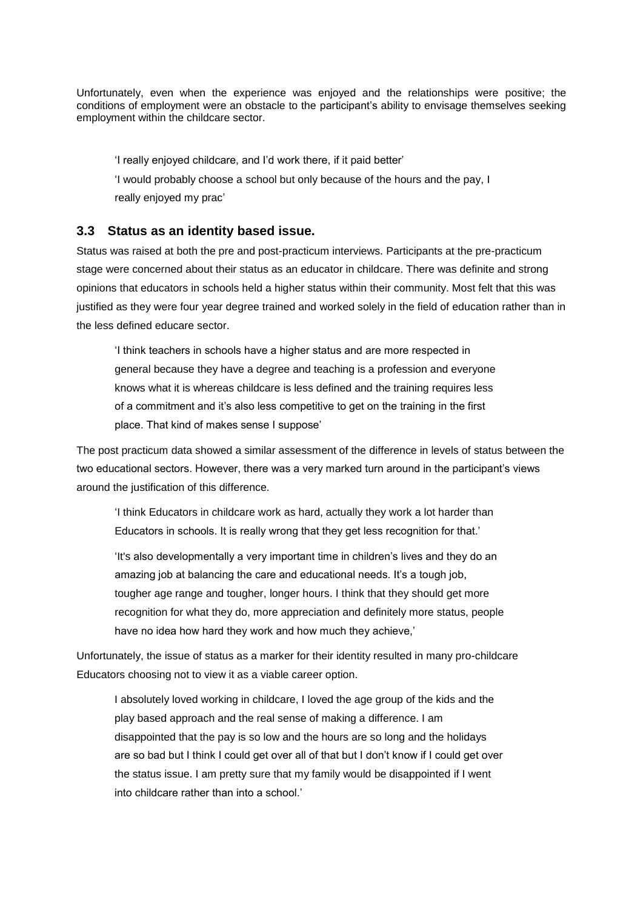Unfortunately, even when the experience was enjoyed and the relationships were positive; the conditions of employment were an obstacle to the participant's ability to envisage themselves seeking employment within the childcare sector.

'I would probably choose a school but only because of the hours and the pay, I really enjoyed my prac' 'I really enjoyed childcare, and I'd work there, if it paid better'

#### **3.3 Status as an identity based issue.**

Status was raised at both the pre and post-practicum interviews. Participants at the pre-practicum stage were concerned about their status as an educator in childcare. There was definite and strong opinions that educators in schools held a higher status within their community. Most felt that this was justified as they were four year degree trained and worked solely in the field of education rather than in the less defined educare sector.

'I think teachers in schools have a higher status and are more respected in general because they have a degree and teaching is a profession and everyone knows what it is whereas childcare is less defined and the training requires less of a commitment and it's also less competitive to get on the training in the first place. That kind of makes sense I suppose'

The post practicum data showed a similar assessment of the difference in levels of status between the two educational sectors. However, there was a very marked turn around in the participant's views around the justification of this difference.

'I think Educators in childcare work as hard, actually they work a lot harder than Educators in schools. It is really wrong that they get less recognition for that.'

'It's also developmentally a very important time in children's lives and they do an amazing job at balancing the care and educational needs. It's a tough job, tougher age range and tougher, longer hours. I think that they should get more recognition for what they do, more appreciation and definitely more status, people have no idea how hard they work and how much they achieve,'

Unfortunately, the issue of status as a marker for their identity resulted in many pro-childcare Educators choosing not to view it as a viable career option.

I absolutely loved working in childcare, I loved the age group of the kids and the play based approach and the real sense of making a difference. I am disappointed that the pay is so low and the hours are so long and the holidays are so bad but I think I could get over all of that but I don't know if I could get over the status issue. I am pretty sure that my family would be disappointed if I went into childcare rather than into a school.'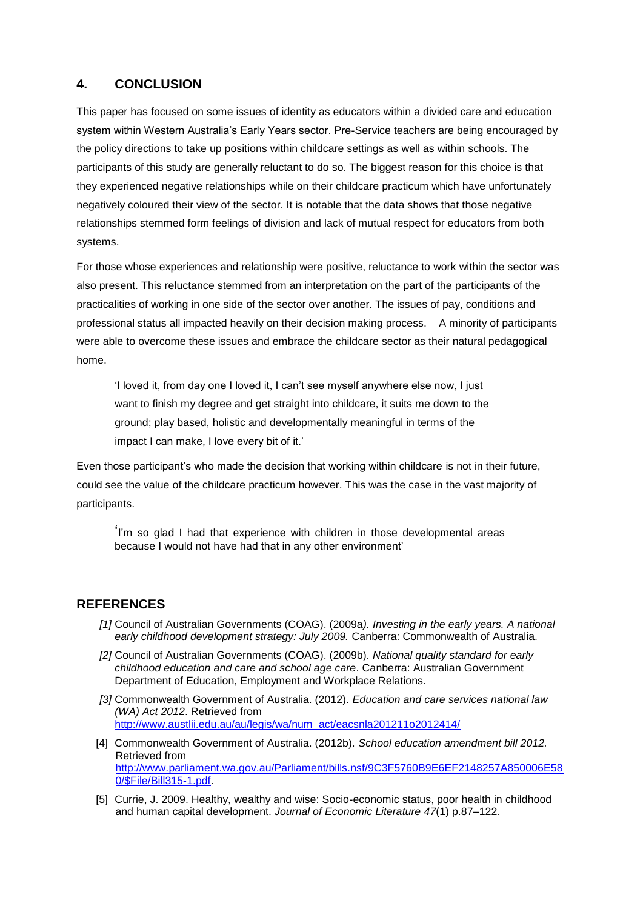### **4. CONCLUSION**

This paper has focused on some issues of identity as educators within a divided care and education system within Western Australia's Early Years sector. Pre-Service teachers are being encouraged by the policy directions to take up positions within childcare settings as well as within schools. The participants of this study are generally reluctant to do so. The biggest reason for this choice is that they experienced negative relationships while on their childcare practicum which have unfortunately negatively coloured their view of the sector. It is notable that the data shows that those negative relationships stemmed form feelings of division and lack of mutual respect for educators from both systems.

For those whose experiences and relationship were positive, reluctance to work within the sector was also present. This reluctance stemmed from an interpretation on the part of the participants of the practicalities of working in one side of the sector over another. The issues of pay, conditions and professional status all impacted heavily on their decision making process. A minority of participants were able to overcome these issues and embrace the childcare sector as their natural pedagogical home.

'I loved it, from day one I loved it, I can't see myself anywhere else now, I just want to finish my degree and get straight into childcare, it suits me down to the ground; play based, holistic and developmentally meaningful in terms of the impact I can make, I love every bit of it.'

Even those participant's who made the decision that working within childcare is not in their future, could see the value of the childcare practicum however. This was the case in the vast majority of participants.

'I'm so glad I had that experience with children in those developmental areas because I would not have had that in any other environment'

## **REFERENCES**

- *[1]* Council of Australian Governments (COAG). (2009a*). Investing in the early years. A national early childhood development strategy: July 2009.* Canberra: Commonwealth of Australia.
- *[2]* Council of Australian Governments (COAG). (2009b). *National quality standard for early childhood education and care and school age care*. Canberra: Australian Government Department of Education, Employment and Workplace Relations.
- *[3]* Commonwealth Government of Australia. (2012). *Education and care services national law (WA) Act 2012*. Retrieved from [http://www.austlii.edu.au/au/legis/wa/num\\_act/eacsnla201211o2012414/](http://www.austlii.edu.au/au/legis/wa/num_act/eacsnla201211o2012414/)
- [4] Commonwealth Government of Australia. (2012b). *School education amendment bill 2012.*  Retrieved from [http://www.parliament.wa.gov.au/Parliament/bills.nsf/9C3F5760B9E6EF2148257A850006E58](http://www.parliament.wa.gov.au/Parliament/bills.nsf/9C3F5760B9E6EF2148257A850006E580/$File/Bill315-1.pdf) [0/\\$File/Bill315-1.pdf.](http://www.parliament.wa.gov.au/Parliament/bills.nsf/9C3F5760B9E6EF2148257A850006E580/$File/Bill315-1.pdf)
- [5] Currie, J. 2009. Healthy, wealthy and wise: Socio-economic status, poor health in childhood and human capital development. *Journal of Economic Literature 47*(1) p.87–122.